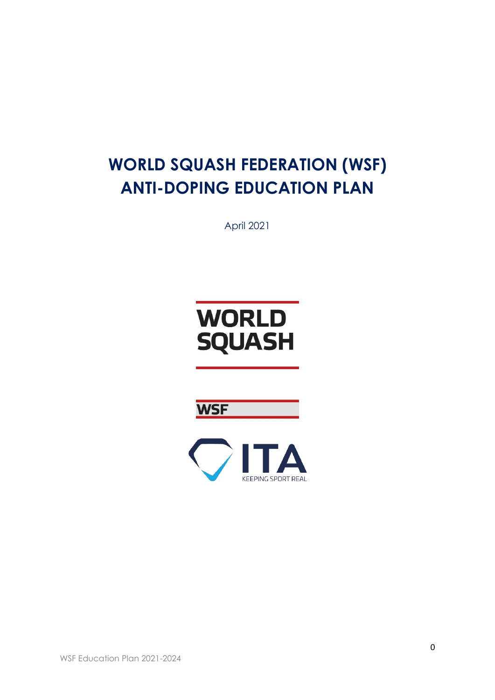# **WORLD SQUASH FEDERATION (WSF) ANTI-DOPING EDUCATION PLAN**

April 2021





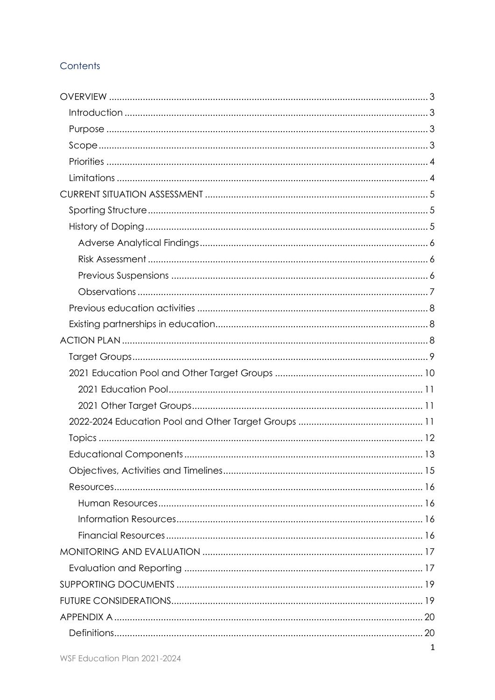# Contents

| $\mathbf{1}$ |
|--------------|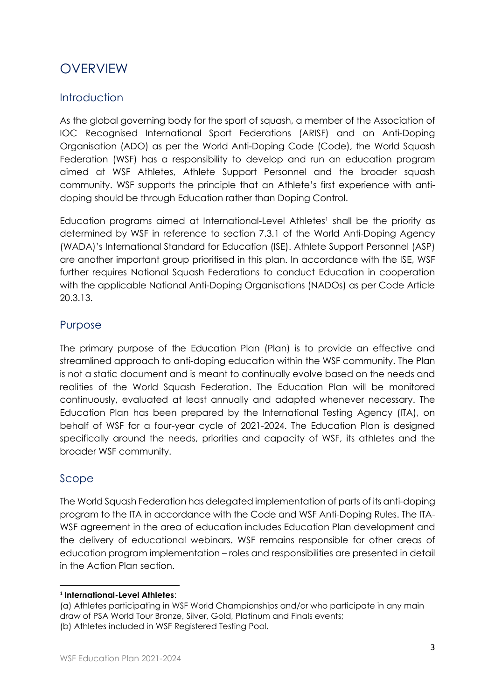# <span id="page-3-0"></span>**OVERVIEW**

# <span id="page-3-1"></span>Introduction

As the global governing body for the sport of squash, a member of the Association of IOC Recognised International Sport Federations (ARISF) and an Anti-Doping Organisation (ADO) as per the World Anti-Doping Code (Code), the World Squash Federation (WSF) has a responsibility to develop and run an education program aimed at WSF Athletes, Athlete Support Personnel and the broader squash community. WSF supports the principle that an Athlete's first experience with antidoping should be through Education rather than Doping Control.

Education programs aimed at International-Level Athletes<sup>1</sup> shall be the priority as determined by WSF in reference to section 7.3.1 of the World Anti-Doping Agency (WADA)'s International Standard for Education (ISE). Athlete Support Personnel (ASP) are another important group prioritised in this plan. In accordance with the ISE, WSF further requires National Squash Federations to conduct Education in cooperation with the applicable National Anti-Doping Organisations (NADOs) as per Code Article 20.3.13.

## <span id="page-3-2"></span>Purpose

The primary purpose of the Education Plan (Plan) is to provide an effective and streamlined approach to anti-doping education within the WSF community. The Plan is not a static document and is meant to continually evolve based on the needs and realities of the World Squash Federation. The Education Plan will be monitored continuously, evaluated at least annually and adapted whenever necessary. The Education Plan has been prepared by the International Testing Agency (ITA), on behalf of WSF for a four-year cycle of 2021-2024. The Education Plan is designed specifically around the needs, priorities and capacity of WSF, its athletes and the broader WSF community.

# <span id="page-3-3"></span>Scope

The World Squash Federation has delegated implementation of parts of its anti-doping program to the ITA in accordance with the Code and WSF Anti-Doping Rules. The ITA-WSF agreement in the area of education includes Education Plan development and the delivery of educational webinars. WSF remains responsible for other areas of education program implementation – roles and responsibilities are presented in detail in the Action Plan section.

<sup>1</sup> **International-Level Athletes**:

<sup>(</sup>a) Athletes participating in WSF World Championships and/or who participate in any main draw of PSA World Tour Bronze, Silver, Gold, Platinum and Finals events; (b) Athletes included in WSF Registered Testing Pool.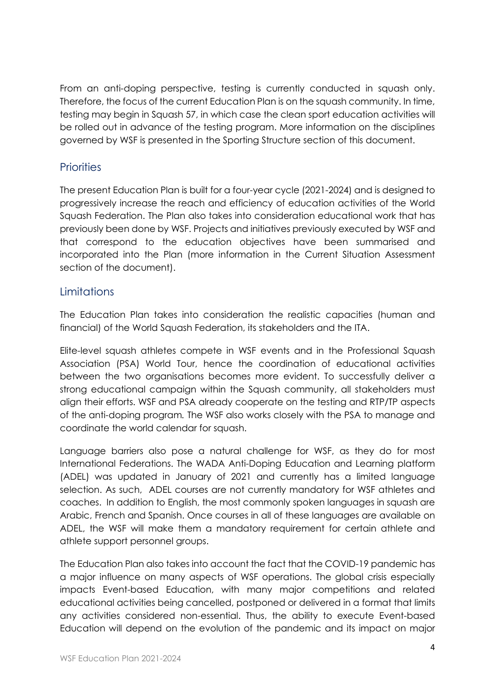From an anti-doping perspective, testing is currently conducted in squash only. Therefore, the focus of the current Education Plan is on the squash community. In time, testing may begin in Squash 57, in which case the clean sport education activities will be rolled out in advance of the testing program. More information on the disciplines governed by WSF is presented in the Sporting Structure section of this document.

## <span id="page-4-0"></span>**Priorities**

The present Education Plan is built for a four-year cycle (2021-2024) and is designed to progressively increase the reach and efficiency of education activities of the World Squash Federation. The Plan also takes into consideration educational work that has previously been done by WSF. Projects and initiatives previously executed by WSF and that correspond to the education objectives have been summarised and incorporated into the Plan (more information in the Current Situation Assessment section of the document).

## <span id="page-4-1"></span>**Limitations**

The Education Plan takes into consideration the realistic capacities (human and financial) of the World Squash Federation, its stakeholders and the ITA.

Elite-level squash athletes compete in WSF events and in the Professional Squash Association (PSA) World Tour, hence the coordination of educational activities between the two organisations becomes more evident. To successfully deliver a strong educational campaign within the Squash community, all stakeholders must align their efforts. WSF and PSA already cooperate on the testing and RTP/TP aspects of the anti-doping program*.* The WSF also works closely with the PSA to manage and coordinate the world calendar for squash.

Language barriers also pose a natural challenge for WSF, as they do for most International Federations. The WADA Anti-Doping Education and Learning platform (ADEL) was updated in January of 2021 and currently has a limited language selection. As such, ADEL courses are not currently mandatory for WSF athletes and coaches. In addition to English, the most commonly spoken languages in squash are Arabic, French and Spanish. Once courses in all of these languages are available on ADEL, the WSF will make them a mandatory requirement for certain athlete and athlete support personnel groups.

The Education Plan also takes into account the fact that the COVID-19 pandemic has a major influence on many aspects of WSF operations. The global crisis especially impacts Event-based Education, with many major competitions and related educational activities being cancelled, postponed or delivered in a format that limits any activities considered non-essential. Thus, the ability to execute Event-based Education will depend on the evolution of the pandemic and its impact on major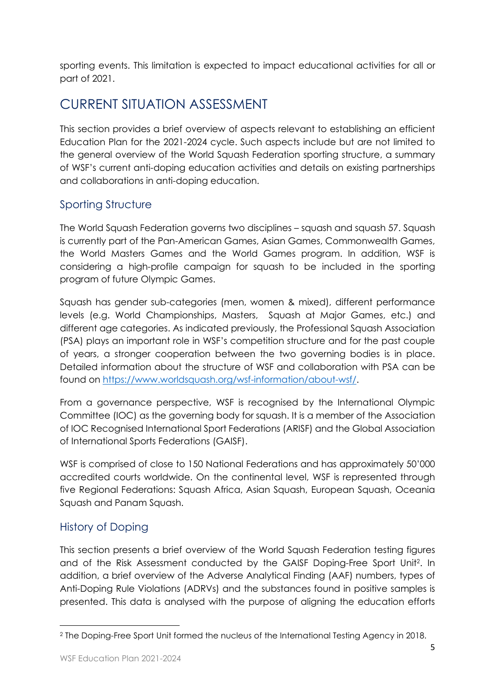sporting events. This limitation is expected to impact educational activities for all or part of 2021.

# <span id="page-5-0"></span>CURRENT SITUATION ASSESSMENT

This section provides a brief overview of aspects relevant to establishing an efficient Education Plan for the 2021-2024 cycle. Such aspects include but are not limited to the general overview of the World Squash Federation sporting structure, a summary of WSF's current anti-doping education activities and details on existing partnerships and collaborations in anti-doping education.

# <span id="page-5-1"></span>Sporting Structure

The World Squash Federation governs two disciplines – squash and squash 57. Squash is currently part of the Pan-American Games, Asian Games, Commonwealth Games, the World Masters Games and the World Games program. In addition, WSF is considering a high-profile campaign for squash to be included in the sporting program of future Olympic Games.

Squash has gender sub-categories (men, women & mixed), different performance levels (e.g. World Championships, Masters, Squash at Major Games, etc.) and different age categories. As indicated previously, the Professional Squash Association (PSA) plays an important role in WSF's competition structure and for the past couple of years, a stronger cooperation between the two governing bodies is in place. Detailed information about the structure of WSF and collaboration with PSA can be found on [https://www.worldsquash.org/wsf-information/about-wsf/.](https://www.worldsquash.org/wsf-information/about-wsf/)

From a governance perspective, WSF is recognised by the International Olympic Committee (IOC) as the governing body for squash. It is a member of the Association of IOC Recognised International Sport Federations (ARISF) and the Global Association of International Sports Federations (GAISF).

WSF is comprised of close to 150 National Federations and has approximately 50'000 accredited courts worldwide. On the continental level, WSF is represented through five Regional Federations: Squash Africa, Asian Squash, European Squash, Oceania Squash and Panam Squash.

# <span id="page-5-2"></span>History of Doping

This section presents a brief overview of the World Squash Federation testing figures and of the Risk Assessment conducted by the GAISF Doping-Free Sport Unit<sup>2</sup> . In addition, a brief overview of the Adverse Analytical Finding (AAF) numbers, types of Anti-Doping Rule Violations (ADRVs) and the substances found in positive samples is presented. This data is analysed with the purpose of aligning the education efforts

<sup>2</sup> The Doping-Free Sport Unit formed the nucleus of the International Testing Agency in 2018.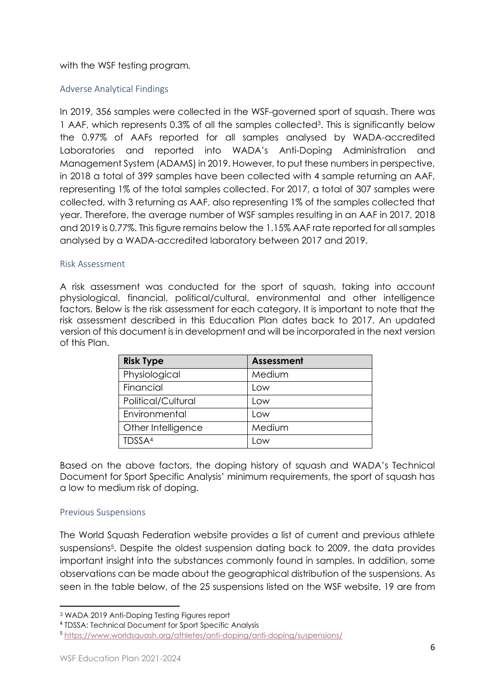#### with the WSF testing program*.*

#### <span id="page-6-0"></span>Adverse Analytical Findings

In 2019, 356 samples were collected in the WSF-governed sport of squash. There was 1 AAF, which represents 0.3% of all the samples collected<sup>3</sup>. This is significantly below the 0.97% of AAFs reported for all samples analysed by WADA-accredited Laboratories and reported into WADA's Anti-Doping Administration and Management System (ADAMS) in 2019. However, to put these numbers in perspective, in 2018 a total of 399 samples have been collected with 4 sample returning an AAF, representing 1% of the total samples collected. For 2017, a total of 307 samples were collected, with 3 returning as AAF, also representing 1% of the samples collected that year. Therefore, the average number of WSF samples resulting in an AAF in 2017, 2018 and 2019 is 0.77%. This figure remains below the 1.15% AAF rate reported for all samples analysed by a WADA-accredited laboratory between 2017 and 2019.

#### <span id="page-6-1"></span>Risk Assessment

A risk assessment was conducted for the sport of squash, taking into account physiological, financial, political/cultural, environmental and other intelligence factors. Below is the risk assessment for each category. It is important to note that the risk assessment described in this Education Plan dates back to 2017. An updated version of this document is in development and will be incorporated in the next version of this Plan.

| <b>Risk Type</b>   | <b>Assessment</b> |
|--------------------|-------------------|
| Physiological      | Medium            |
| Financial          | Low               |
| Political/Cultural | Low               |
| Environmental      | Low               |
| Other Intelligence | Medium            |
| TDSSA <sup>4</sup> | <b>OW</b>         |

Based on the above factors, the doping history of squash and WADA's Technical Document for Sport Specific Analysis' minimum requirements, the sport of squash has a low to medium risk of doping.

#### <span id="page-6-2"></span>Previous Suspensions

The World Squash Federation website provides a list of current and previous athlete suspensions<sup>5</sup> . Despite the oldest suspension dating back to 2009, the data provides important insight into the substances commonly found in samples. In addition, some observations can be made about the geographical distribution of the suspensions. As seen in the table below, of the 25 suspensions listed on the WSF website, 19 are from

4 TDSSA: Technical Document for Sport Specific Analysis

<sup>3</sup> WADA 2019 Anti-Doping Testing Figures report

<sup>5</sup> <https://www.worldsquash.org/athletes/anti-doping/anti-doping/suspensions/>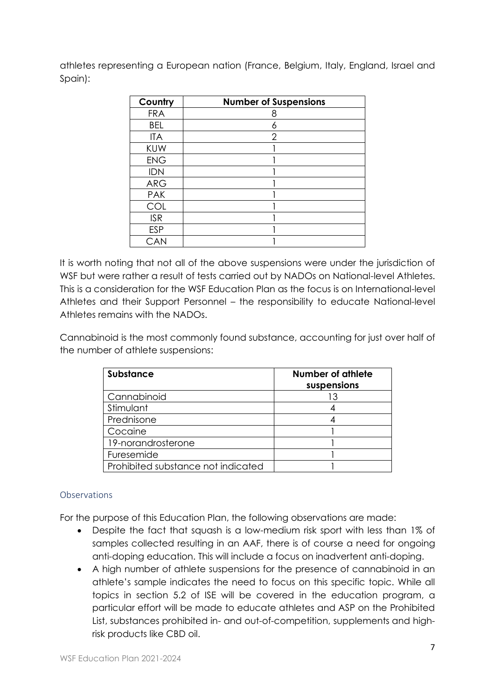athletes representing a European nation (France, Belgium, Italy, England, Israel and Spain):

| Country    | <b>Number of Suspensions</b> |
|------------|------------------------------|
| <b>FRA</b> |                              |
| <b>BEL</b> |                              |
| <b>ITA</b> | 2                            |
| <b>KUW</b> |                              |
| <b>ENG</b> |                              |
| <b>IDN</b> |                              |
| <b>ARG</b> |                              |
| <b>PAK</b> |                              |
| COL        |                              |
| <b>ISR</b> |                              |
| <b>ESP</b> |                              |
| CAN        |                              |

It is worth noting that not all of the above suspensions were under the jurisdiction of WSF but were rather a result of tests carried out by NADOs on National-level Athletes. This is a consideration for the WSF Education Plan as the focus is on International-level Athletes and their Support Personnel – the responsibility to educate National-level Athletes remains with the NADOs.

Cannabinoid is the most commonly found substance, accounting for just over half of the number of athlete suspensions:

| <b>Substance</b>                   | <b>Number of athlete</b><br>suspensions |
|------------------------------------|-----------------------------------------|
| Cannabinoid                        |                                         |
| Stimulant                          |                                         |
| Prednisone                         |                                         |
| Cocaine                            |                                         |
| 19-norandrosterone                 |                                         |
| Furesemide                         |                                         |
| Prohibited substance not indicated |                                         |

## <span id="page-7-0"></span>**Observations**

For the purpose of this Education Plan, the following observations are made:

- Despite the fact that squash is a low-medium risk sport with less than 1% of samples collected resulting in an AAF, there is of course a need for ongoing anti-doping education. This will include a focus on inadvertent anti-doping.
- A high number of athlete suspensions for the presence of cannabinoid in an athlete's sample indicates the need to focus on this specific topic. While all topics in section 5.2 of ISE will be covered in the education program, a particular effort will be made to educate athletes and ASP on the Prohibited List, substances prohibited in- and out-of-competition, supplements and highrisk products like CBD oil.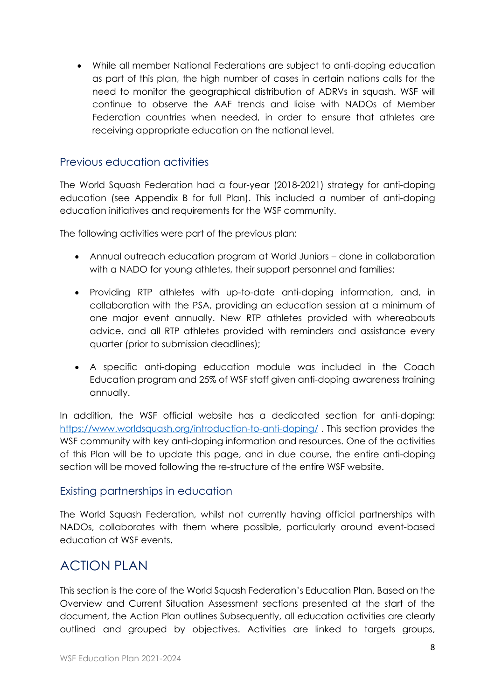• While all member National Federations are subject to anti-doping education as part of this plan, the high number of cases in certain nations calls for the need to monitor the geographical distribution of ADRVs in squash. WSF will continue to observe the AAF trends and liaise with NADOs of Member Federation countries when needed, in order to ensure that athletes are receiving appropriate education on the national level.

## <span id="page-8-0"></span>Previous education activities

The World Squash Federation had a four-year (2018-2021) strategy for anti-doping education (see Appendix B for full Plan). This included a number of anti-doping education initiatives and requirements for the WSF community.

The following activities were part of the previous plan:

- Annual outreach education program at World Juniors done in collaboration with a NADO for young athletes, their support personnel and families;
- Providing RTP athletes with up-to-date anti-doping information, and, in collaboration with the PSA, providing an education session at a minimum of one major event annually. New RTP athletes provided with whereabouts advice, and all RTP athletes provided with reminders and assistance every quarter (prior to submission deadlines);
- A specific anti-doping education module was included in the Coach Education program and 25% of WSF staff given anti-doping awareness training annually.

In addition, the WSF official website has a dedicated section for anti-doping: <https://www.worldsquash.org/introduction-to-anti-doping/> . This section provides the WSF community with key anti-doping information and resources. One of the activities of this Plan will be to update this page, and in due course, the entire anti-doping section will be moved following the re-structure of the entire WSF website.

# <span id="page-8-1"></span>Existing partnerships in education

The World Squash Federation, whilst not currently having official partnerships with NADOs, collaborates with them where possible, particularly around event-based education at WSF events.

# <span id="page-8-2"></span>ACTION PLAN

This section is the core of the World Squash Federation's Education Plan. Based on the Overview and Current Situation Assessment sections presented at the start of the document, the Action Plan outlines Subsequently, all education activities are clearly outlined and grouped by objectives. Activities are linked to targets groups,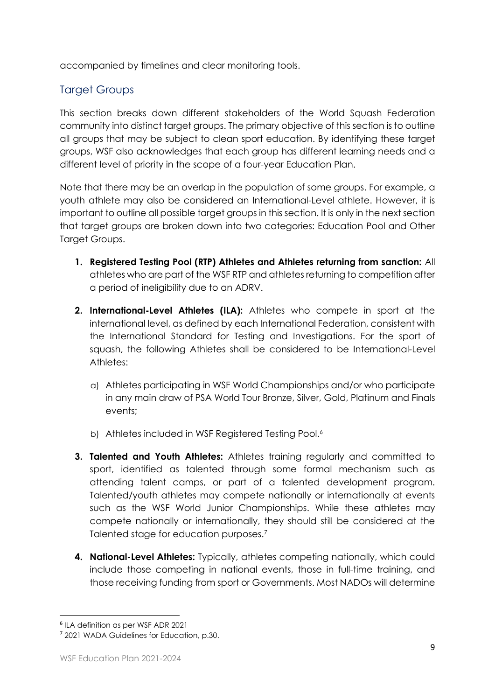accompanied by timelines and clear monitoring tools.

# <span id="page-9-0"></span>Target Groups

This section breaks down different stakeholders of the World Squash Federation community into distinct target groups. The primary objective of this section is to outline all groups that may be subject to clean sport education. By identifying these target groups, WSF also acknowledges that each group has different learning needs and a different level of priority in the scope of a four-year Education Plan.

Note that there may be an overlap in the population of some groups. For example, a youth athlete may also be considered an International-Level athlete. However, it is important to outline all possible target groups in this section. It is only in the next section that target groups are broken down into two categories: Education Pool and Other Target Groups.

- **1. Registered Testing Pool (RTP) Athletes and Athletes returning from sanction:** All athletes who are part of the WSF RTP and athletes returning to competition after a period of ineligibility due to an ADRV.
- **2. International-Level Athletes (ILA):** Athletes who compete in sport at the international level, as defined by each International Federation, consistent with the International Standard for Testing and Investigations. For the sport of squash, the following Athletes shall be considered to be International-Level Athletes:
	- a) Athletes participating in WSF World Championships and/or who participate in any main draw of PSA World Tour Bronze, Silver, Gold, Platinum and Finals events;
	- b) Athletes included in WSF Registered Testing Pool.<sup>6</sup>
- **3. Talented and Youth Athletes:** Athletes training regularly and committed to sport, identified as talented through some formal mechanism such as attending talent camps, or part of a talented development program. Talented/youth athletes may compete nationally or internationally at events such as the WSF World Junior Championships. While these athletes may compete nationally or internationally, they should still be considered at the Talented stage for education purposes.<sup>7</sup>
- **4. National-Level Athletes:** Typically, athletes competing nationally, which could include those competing in national events, those in full-time training, and those receiving funding from sport or Governments. Most NADOs will determine

<sup>6</sup> ILA definition as per WSF ADR 2021

<sup>7</sup> 2021 WADA Guidelines for Education, p.30.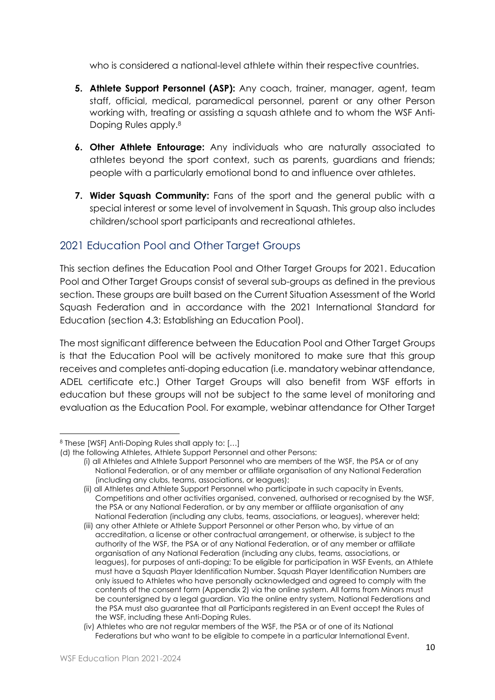who is considered a national-level athlete within their respective countries.

- **5. Athlete Support Personnel (ASP):** Any coach, trainer, manager, agent, team staff, official, medical, paramedical personnel, parent or any other Person working with, treating or assisting a squash athlete and to whom the WSF Anti-Doping Rules apply. 8
- **6. Other Athlete Entourage:** Any individuals who are naturally associated to athletes beyond the sport context, such as parents, guardians and friends; people with a particularly emotional bond to and influence over athletes.
- **7. Wider Squash Community:** Fans of the sport and the general public with a special interest or some level of involvement in Squash. This group also includes children/school sport participants and recreational athletes.

# <span id="page-10-0"></span>2021 Education Pool and Other Target Groups

This section defines the Education Pool and Other Target Groups for 2021. Education Pool and Other Target Groups consist of several sub-groups as defined in the previous section. These groups are built based on the Current Situation Assessment of the World Squash Federation and in accordance with the 2021 International Standard for Education (section 4.3: Establishing an Education Pool).

The most significant difference between the Education Pool and Other Target Groups is that the Education Pool will be actively monitored to make sure that this group receives and completes anti-doping education (i.e. mandatory webinar attendance, ADEL certificate etc.) Other Target Groups will also benefit from WSF efforts in education but these groups will not be subject to the same level of monitoring and evaluation as the Education Pool. For example, webinar attendance for Other Target

<sup>8</sup> These [WSF] Anti-Doping Rules shall apply to: […]

<sup>(</sup>d) the following Athletes, Athlete Support Personnel and other Persons:

<sup>(</sup>i) all Athletes and Athlete Support Personnel who are members of the WSF, the PSA or of any National Federation, or of any member or affiliate organisation of any National Federation (including any clubs, teams, associations, or leagues);

<sup>(</sup>ii) all Athletes and Athlete Support Personnel who participate in such capacity in Events, Competitions and other activities organised, convened, authorised or recognised by the WSF, the PSA or any National Federation, or by any member or affiliate organisation of any National Federation (including any clubs, teams, associations, or leagues), wherever held;

<sup>(</sup>iii) any other Athlete or Athlete Support Personnel or other Person who, by virtue of an accreditation, a license or other contractual arrangement, or otherwise, is subject to the authority of the WSF, the PSA or of any National Federation, or of any member or affiliate organisation of any National Federation (including any clubs, teams, associations, or leagues), for purposes of anti-doping; To be eligible for participation in WSF Events, an Athlete must have a Squash Player Identification Number. Squash Player Identification Numbers are only issued to Athletes who have personally acknowledged and agreed to comply with the contents of the consent form (Appendix 2) via the online system. All forms from Minors must be countersigned by a legal guardian. Via the online entry system, National Federations and the PSA must also guarantee that all Participants registered in an Event accept the Rules of the WSF, including these Anti-Doping Rules.

<sup>(</sup>iv) Athletes who are not regular members of the WSF, the PSA or of one of its National Federations but who want to be eligible to compete in a particular International Event.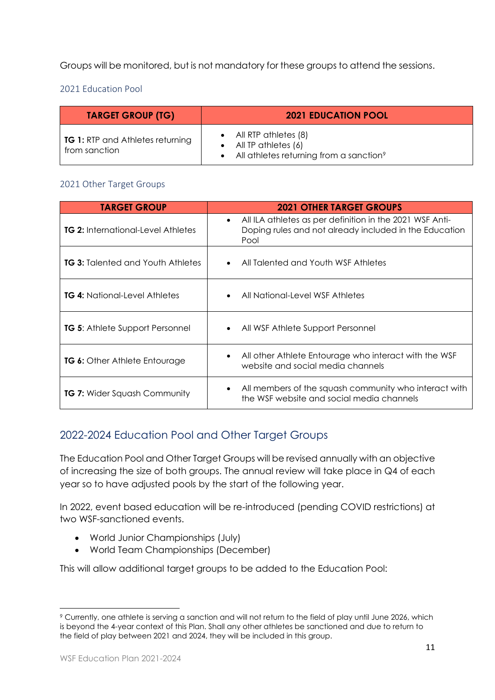Groups will be monitored, but is not mandatory for these groups to attend the sessions.

<span id="page-11-0"></span>2021 Education Pool

| <b>TARGET GROUP (TG)</b>                                 | <b>2021 EDUCATION POOL</b>                                                                                                 |
|----------------------------------------------------------|----------------------------------------------------------------------------------------------------------------------------|
| <b>TG 1:</b> RTP and Athletes returning<br>from sanction | $\bullet$ All RTP athletes $(8)$<br>$\bullet$ All TP athletes (6)<br>• All athletes returning from a sanction <sup>9</sup> |

#### <span id="page-11-1"></span>2021 Other Target Groups

| <b>TARGET GROUP</b>                       | <b>2021 OTHER TARGET GROUPS</b>                                                                                                         |
|-------------------------------------------|-----------------------------------------------------------------------------------------------------------------------------------------|
| <b>TG 2: International-Level Athletes</b> | All ILA athletes as per definition in the 2021 WSF Anti-<br>$\bullet$<br>Doping rules and not already included in the Education<br>Pool |
| <b>TG 3: Talented and Youth Athletes</b>  | All Talented and Youth WSF Athletes<br>$\bullet$                                                                                        |
| <b>TG 4:</b> National-Level Athletes      | All National-Level WSF Athletes<br>$\bullet$                                                                                            |
| <b>TG 5:</b> Athlete Support Personnel    | All WSF Athlete Support Personnel<br>$\bullet$                                                                                          |
| TG 6: Other Athlete Entourage             | All other Athlete Entourage who interact with the WSF<br>$\bullet$<br>website and social media channels                                 |
| <b>TG 7: Wider Squash Community</b>       | All members of the squash community who interact with<br>$\bullet$<br>the WSF website and social media channels                         |

# <span id="page-11-2"></span>2022-2024 Education Pool and Other Target Groups

The Education Pool and Other Target Groups will be revised annually with an objective of increasing the size of both groups. The annual review will take place in Q4 of each year so to have adjusted pools by the start of the following year.

In 2022, event based education will be re-introduced (pending COVID restrictions) at two WSF-sanctioned events.

- World Junior Championships (July)
- World Team Championships (December)

This will allow additional target groups to be added to the Education Pool:

<sup>9</sup> Currently, one athlete is serving a sanction and will not return to the field of play until June 2026, which is beyond the 4-year context of this Plan. Shall any other athletes be sanctioned and due to return to the field of play between 2021 and 2024, they will be included in this group.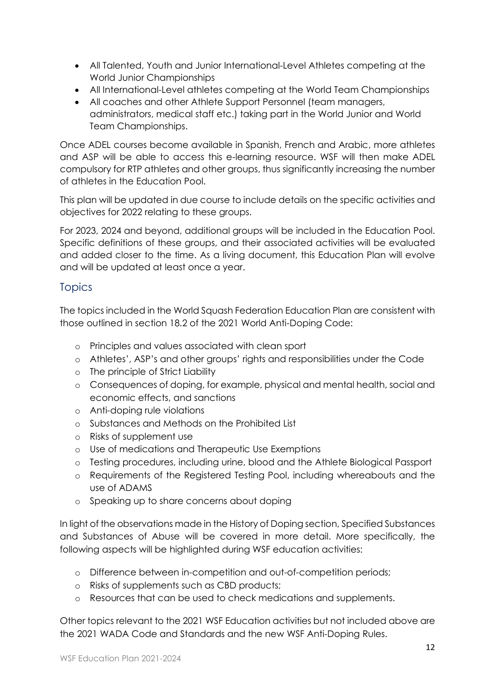- All Talented, Youth and Junior International-Level Athletes competing at the World Junior Championships
- All International-Level athletes competing at the World Team Championships
- All coaches and other Athlete Support Personnel (team managers, administrators, medical staff etc.) taking part in the World Junior and World Team Championships.

Once ADEL courses become available in Spanish, French and Arabic, more athletes and ASP will be able to access this e-learning resource. WSF will then make ADEL compulsory for RTP athletes and other groups, thus significantly increasing the number of athletes in the Education Pool.

This plan will be updated in due course to include details on the specific activities and objectives for 2022 relating to these groups.

For 2023, 2024 and beyond, additional groups will be included in the Education Pool. Specific definitions of these groups, and their associated activities will be evaluated and added closer to the time. As a living document, this Education Plan will evolve and will be updated at least once a year.

# <span id="page-12-0"></span>**Topics**

The topics included in the World Squash Federation Education Plan are consistent with those outlined in section 18.2 of the 2021 World Anti-Doping Code:

- o Principles and values associated with clean sport
- o Athletes', ASP's and other groups' rights and responsibilities under the Code
- o The principle of Strict Liability
- o Consequences of doping, for example, physical and mental health, social and economic effects, and sanctions
- o Anti-doping rule violations
- o Substances and Methods on the Prohibited List
- o Risks of supplement use
- o Use of medications and Therapeutic Use Exemptions
- o Testing procedures, including urine, blood and the Athlete Biological Passport
- o Requirements of the Registered Testing Pool, including whereabouts and the use of ADAMS
- o Speaking up to share concerns about doping

In light of the observations made in the History of Doping section, Specified Substances and Substances of Abuse will be covered in more detail. More specifically, the following aspects will be highlighted during WSF education activities:

- o Difference between in-competition and out-of-competition periods;
- o Risks of supplements such as CBD products;
- o Resources that can be used to check medications and supplements.

Other topics relevant to the 2021 WSF Education activities but not included above are the 2021 WADA Code and Standards and the new WSF Anti-Doping Rules.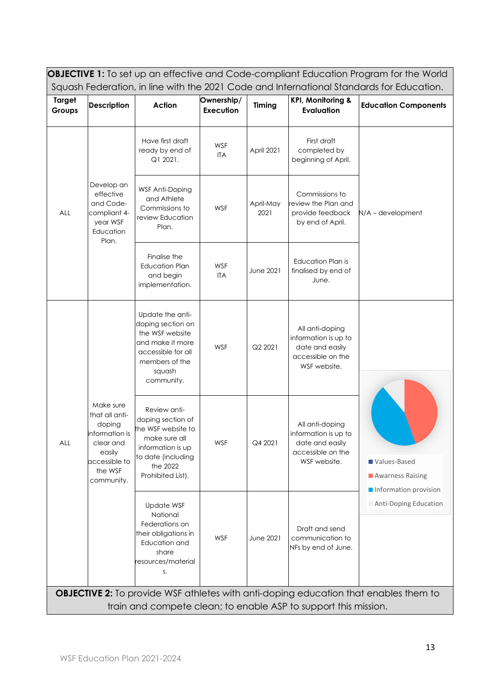<span id="page-13-0"></span>

| <b>OBJECTIVE 1:</b> To set up an effective and Code-compliant Education Program for the World |                                                                                                                          |                                                                                                                                                      |                         |                                                                               |                                                                                                 |                                                                                             |
|-----------------------------------------------------------------------------------------------|--------------------------------------------------------------------------------------------------------------------------|------------------------------------------------------------------------------------------------------------------------------------------------------|-------------------------|-------------------------------------------------------------------------------|-------------------------------------------------------------------------------------------------|---------------------------------------------------------------------------------------------|
|                                                                                               | Squash Federation, in line with the 2021 Code and International Standards for Education.                                 |                                                                                                                                                      |                         |                                                                               |                                                                                                 |                                                                                             |
| <b>Target</b><br>Groups                                                                       | <b>Description</b>                                                                                                       | Action                                                                                                                                               | Ownership/<br>Execution | <b>Timing</b>                                                                 | <b>KPI, Monitoring &amp;</b><br><b>Evaluation</b>                                               | <b>Education Components</b>                                                                 |
| Develop an<br>effective<br>and Code-<br>ALL<br>compliant 4-<br>year WSF<br>Education<br>Plan. | Have first draft<br>ready by end of<br>Q1 2021.                                                                          | <b>WSF</b><br>ITA                                                                                                                                    | April 2021              | First draft<br>completed by<br>beginning of April.                            |                                                                                                 |                                                                                             |
|                                                                                               | WSF Anti-Doping<br>and Athlete<br>Commissions to<br>review Education<br>Plan.                                            | <b>WSF</b>                                                                                                                                           | April-May<br>2021       | Commissions to<br>review the Plan and<br>provide feedback<br>by end of April. | N/A - development                                                                               |                                                                                             |
|                                                                                               | Finalise the<br><b>Education Plan</b><br>and begin<br>implementation.                                                    | WSF<br><b>ITA</b>                                                                                                                                    | <b>June 2021</b>        | <b>Education Plan is</b><br>finalised by end of<br>June.                      |                                                                                                 |                                                                                             |
|                                                                                               |                                                                                                                          | Update the anti-<br>doping section on<br>the WSF website<br>and make it more<br>accessible for all<br>members of the<br>squash<br>community.         | <b>WSF</b>              | Q2 2021                                                                       | All anti-doping<br>information is up to<br>date and easily<br>accessible on the<br>WSF website. |                                                                                             |
| <b>ALL</b>                                                                                    | Make sure<br>that all anti-<br>doping<br>information is<br>clear and<br>easily<br>accessible to<br>the WSF<br>community. | Review anti-<br>doping section of<br>the WSF website to<br>make sure all<br>information is up<br>to date (including<br>the 2022<br>Prohibited List). | WSF                     | Q4 2021                                                                       | All anti-doping<br>information is up to<br>date and easily<br>accessible on the<br>WSF website. | Values-Based<br>Awarness Raising<br>Information provision                                   |
|                                                                                               | Update WSF<br>National<br>Federations on<br>their obligations in<br>Education and<br>share<br>resources/material<br>S.   | WSF                                                                                                                                                  | June 2021               | Draft and send<br>communication to<br>NFs by end of June.                     | <b>Anti-Doping Education</b>                                                                    |                                                                                             |
|                                                                                               |                                                                                                                          |                                                                                                                                                      |                         |                                                                               | train and compete clean; to enable ASP to support this mission.                                 | <b>OBJECTIVE 2:</b> To provide WSF athletes with anti-doping education that enables them to |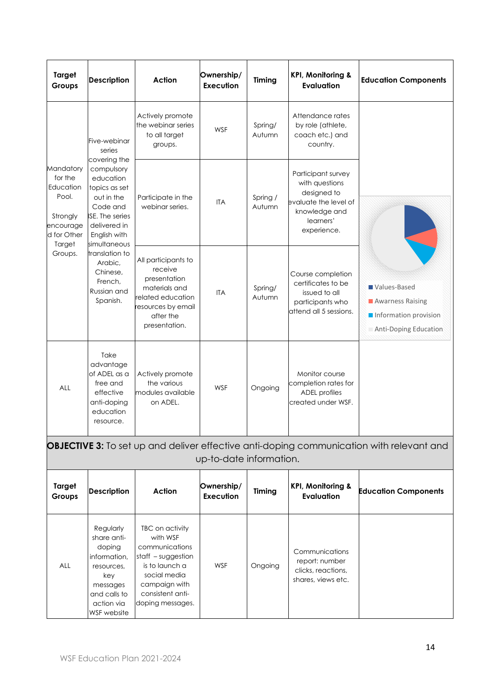| Target<br>Groups                                                                             | <b>Description</b>                                                                                                                                           | Action                                                                                                                                   | Ownership/<br>Execution | Timing             | <b>KPI, Monitoring &amp;</b><br><b>Evaluation</b>                                                                         | <b>Education Components</b>                                                        |
|----------------------------------------------------------------------------------------------|--------------------------------------------------------------------------------------------------------------------------------------------------------------|------------------------------------------------------------------------------------------------------------------------------------------|-------------------------|--------------------|---------------------------------------------------------------------------------------------------------------------------|------------------------------------------------------------------------------------|
|                                                                                              | Five-webinar<br>series                                                                                                                                       | Actively promote<br>the webinar series<br>to all target<br>groups.                                                                       | <b>WSF</b>              | Spring/<br>Autumn  | Attendance rates<br>by role (athlete,<br>coach etc.) and<br>country.                                                      |                                                                                    |
| Mandatory<br>for the<br>Education<br>Pool.<br>Strongly<br>encourage<br>d for Other<br>Target | covering the<br>compulsory<br>education<br>topics as set<br>out in the<br>Code and<br><b>ISE.</b> The series<br>delivered in<br>English with<br>simultaneous | Participate in the<br>webinar series.                                                                                                    | <b>ITA</b>              | Spring /<br>Autumn | Participant survey<br>with questions<br>designed to<br>evaluate the level of<br>knowledge and<br>learners'<br>experience. |                                                                                    |
| Groups.                                                                                      | translation to<br>Arabic,<br>Chinese,<br>French.<br>Russian and<br>Spanish.                                                                                  | All participants to<br>receive<br>presentation<br>materials and<br>related education<br>resources by email<br>after the<br>presentation. | <b>ITA</b>              | Spring/<br>Autumn  | Course completion<br>certificates to be<br>issued to all<br>participants who<br>attend all 5 sessions.                    | Values-Based<br>Awarness Raising<br>Information provision<br>Anti-Doping Education |
| ALL                                                                                          | Take<br>advantage<br>of ADEL as a<br>free and<br>effective<br>anti-doping<br>education<br>resource.                                                          | Actively promote<br>the various<br>modules available<br>on ADEL.                                                                         | WSF                     | Ongoing            | Monitor course<br>completion rates for<br><b>ADEL</b> profiles<br>created under WSF.                                      |                                                                                    |

|                         | <b>OBJECTIVE 3:</b> To set up and deliver effective anti-doping communication with relevant and<br>up-to-date information.       |                                                                                                                                                                  |                         |         |                                                                              |                             |
|-------------------------|----------------------------------------------------------------------------------------------------------------------------------|------------------------------------------------------------------------------------------------------------------------------------------------------------------|-------------------------|---------|------------------------------------------------------------------------------|-----------------------------|
| <b>Target</b><br>Groups | <b>Description</b>                                                                                                               | Action                                                                                                                                                           | Ownership/<br>Execution | Timing  | <b>KPI, Monitoring &amp;</b><br><b>Evaluation</b>                            | <b>Education Components</b> |
| <b>ALL</b>              | Regularly<br>share anti-<br>doping<br>information.<br>resources,<br>key<br>messages<br>and calls to<br>action via<br>WSF website | TBC on activity<br>with WSF<br>communications<br>staff $-$ suggestion<br>is to launch a<br>social media<br>campaign with<br>consistent anti-<br>doping messages. | <b>WSF</b>              | Ongoing | Communications<br>report: number<br>clicks, reactions,<br>shares, views etc. |                             |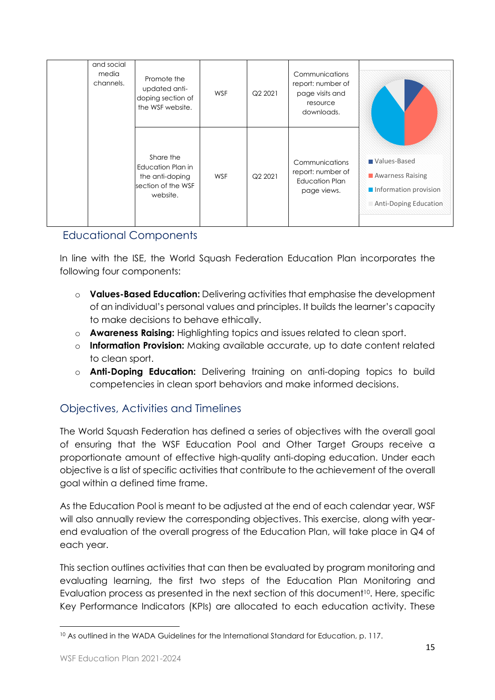| and social<br>media<br>channels. | Promote the<br>updated anti-<br>doping section of<br>the WSF website.               | <b>WSF</b> | Q2 2021 | Communications<br>report: number of<br>page visits and<br>resource<br>downloads. |                                                                                           |
|----------------------------------|-------------------------------------------------------------------------------------|------------|---------|----------------------------------------------------------------------------------|-------------------------------------------------------------------------------------------|
|                                  | Share the<br>Education Plan in<br>the anti-doping<br>section of the WSF<br>website. | WSF        | Q2 2021 | Communications<br>report: number of<br>Education Plan<br>page views.             | Values-Based<br>Awarness Raising<br>Information provision<br><b>Anti-Doping Education</b> |

# Educational Components

In line with the ISE, the World Squash Federation Education Plan incorporates the following four components:

- o **Values-Based Education:** Delivering activities that emphasise the development of an individual's personal values and principles. It builds the learner's capacity to make decisions to behave ethically.
- o **Awareness Raising:** Highlighting topics and issues related to clean sport.
- o **Information Provision:** Making available accurate, up to date content related to clean sport.
- o **Anti-Doping Education:** Delivering training on anti-doping topics to build competencies in clean sport behaviors and make informed decisions.

# <span id="page-15-0"></span>Objectives, Activities and Timelines

The World Squash Federation has defined a series of objectives with the overall goal of ensuring that the WSF Education Pool and Other Target Groups receive a proportionate amount of effective high-quality anti-doping education. Under each objective is a list of specific activities that contribute to the achievement of the overall goal within a defined time frame.

As the Education Pool is meant to be adjusted at the end of each calendar year, WSF will also annually review the corresponding objectives. This exercise, along with yearend evaluation of the overall progress of the Education Plan, will take place in Q4 of each year.

This section outlines activities that can then be evaluated by program monitoring and evaluating learning, the first two steps of the Education Plan Monitoring and Evaluation process as presented in the next section of this document<sup>10</sup>. Here, specific Key Performance Indicators (KPIs) are allocated to each education activity. These

<sup>10</sup> As outlined in the WADA Guidelines for the International Standard for Education, p. 117.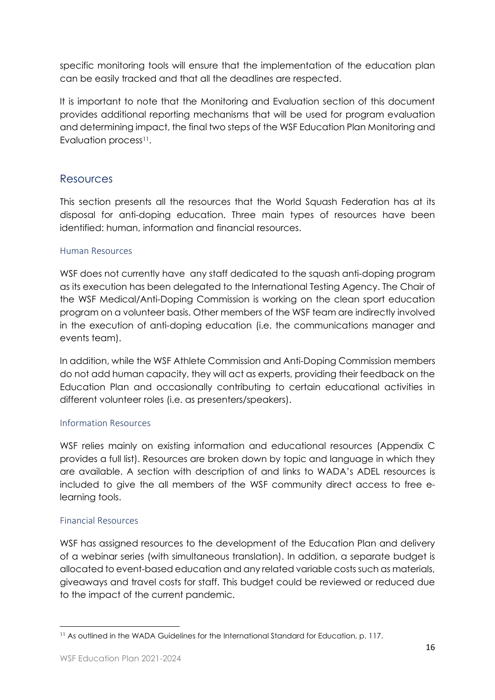specific monitoring tools will ensure that the implementation of the education plan can be easily tracked and that all the deadlines are respected.

It is important to note that the Monitoring and Evaluation section of this document provides additional reporting mechanisms that will be used for program evaluation and determining impact, the final two steps of the WSF Education Plan Monitoring and Evaluation process<sup>11</sup>.

## <span id="page-16-0"></span>Resources

This section presents all the resources that the World Squash Federation has at its disposal for anti-doping education. Three main types of resources have been identified: human, information and financial resources.

## <span id="page-16-1"></span>Human Resources

WSF does not currently have any staff dedicated to the squash anti-doping program as its execution has been delegated to the International Testing Agency. The Chair of the WSF Medical/Anti-Doping Commission is working on the clean sport education program on a volunteer basis. Other members of the WSF team are indirectly involved in the execution of anti-doping education (i.e. the communications manager and events team).

In addition, while the WSF Athlete Commission and Anti-Doping Commission members do not add human capacity, they will act as experts, providing their feedback on the Education Plan and occasionally contributing to certain educational activities in different volunteer roles (i.e. as presenters/speakers).

## <span id="page-16-2"></span>Information Resources

WSF relies mainly on existing information and educational resources (Appendix C provides a full list). Resources are broken down by topic and language in which they are available. A section with description of and links to WADA's ADEL resources is included to give the all members of the WSF community direct access to free elearning tools.

## <span id="page-16-3"></span>Financial Resources

WSF has assigned resources to the development of the Education Plan and delivery of a webinar series (with simultaneous translation). In addition, a separate budget is allocated to event-based education and any related variable costs such as materials, giveaways and travel costs for staff. This budget could be reviewed or reduced due to the impact of the current pandemic.

<sup>11</sup> As outlined in the WADA Guidelines for the International Standard for Education, p. 117.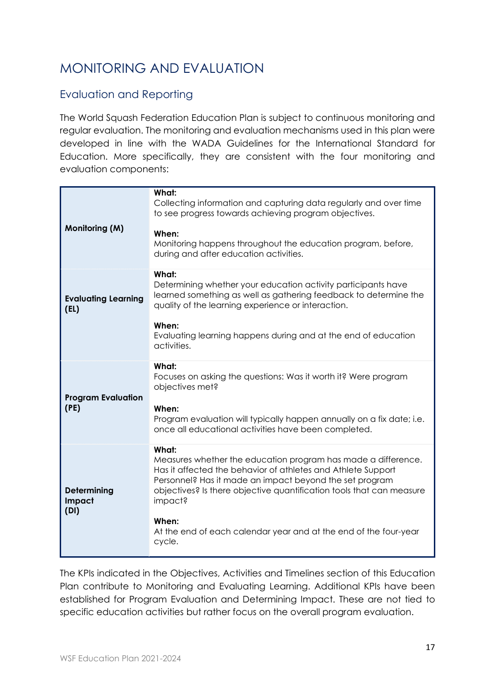# <span id="page-17-0"></span>MONITORING AND EVALUATION

# <span id="page-17-1"></span>Evaluation and Reporting

The World Squash Federation Education Plan is subject to continuous monitoring and regular evaluation. The monitoring and evaluation mechanisms used in this plan were developed in line with the WADA Guidelines for the International Standard for Education. More specifically, they are consistent with the four monitoring and evaluation components:

| <b>Monitoring (M)</b>              | What:<br>Collecting information and capturing data regularly and over time<br>to see progress towards achieving program objectives.<br>When:<br>Monitoring happens throughout the education program, before,<br>during and after education activities.                                                                                                                      |
|------------------------------------|-----------------------------------------------------------------------------------------------------------------------------------------------------------------------------------------------------------------------------------------------------------------------------------------------------------------------------------------------------------------------------|
| <b>Evaluating Learning</b><br>(EL) | What:<br>Determining whether your education activity participants have<br>learned something as well as gathering feedback to determine the<br>quality of the learning experience or interaction.<br>When:<br>Evaluating learning happens during and at the end of education<br>activities.                                                                                  |
| <b>Program Evaluation</b><br>(PE)  | What:<br>Focuses on asking the questions: Was it worth it? Were program<br>objectives met?<br>When:<br>Program evaluation will typically happen annually on a fix date; i.e.<br>once all educational activities have been completed.                                                                                                                                        |
| Determining<br>Impact<br>(DI)      | What:<br>Measures whether the education program has made a difference.<br>Has it affected the behavior of athletes and Athlete Support<br>Personnel? Has it made an impact beyond the set program<br>objectives? Is there objective quantification tools that can measure<br>impact?<br>When:<br>At the end of each calendar year and at the end of the four-year<br>cycle. |

The KPIs indicated in the Objectives, Activities and Timelines section of this Education Plan contribute to Monitoring and Evaluating Learning. Additional KPIs have been established for Program Evaluation and Determining Impact. These are not tied to specific education activities but rather focus on the overall program evaluation.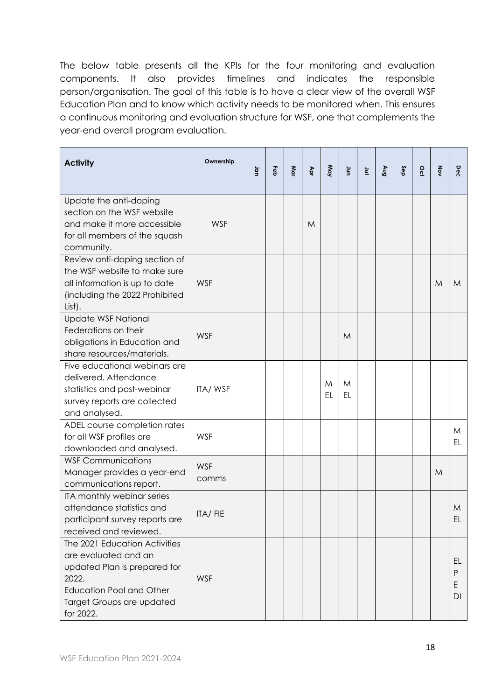The below table presents all the KPIs for the four monitoring and evaluation components. It also provides timelines and indicates the responsible person/organisation. The goal of this table is to have a clear view of the overall WSF Education Plan and to know which activity needs to be monitored when. This ensures a continuous monitoring and evaluation structure for WSF, one that complements the year-end overall program evaluation.

| <b>Activity</b>                                                                                                                                                             | Ownership           | g | Feb | Mar | Apr | May     | $\overline{\mathsf{s}}$ | $\overleftarrow{\underline{\mathsf{c}}}$ | <b>Gny</b> | Sep | $\overline{5}$ | Xov | Dec                |
|-----------------------------------------------------------------------------------------------------------------------------------------------------------------------------|---------------------|---|-----|-----|-----|---------|-------------------------|------------------------------------------|------------|-----|----------------|-----|--------------------|
| Update the anti-doping<br>section on the WSF website<br>and make it more accessible<br>for all members of the squash<br>community.                                          | <b>WSF</b>          |   |     |     | M   |         |                         |                                          |            |     |                |     |                    |
| Review anti-doping section of<br>the WSF website to make sure<br>all information is up to date<br>(including the 2022 Prohibited<br>List).                                  | <b>WSF</b>          |   |     |     |     |         |                         |                                          |            |     |                | M   | M                  |
| <b>Update WSF National</b><br>Federations on their<br>obligations in Education and<br>share resources/materials.                                                            | <b>WSF</b>          |   |     |     |     |         | M                       |                                          |            |     |                |     |                    |
| Five educational webinars are<br>delivered. Attendance<br>statistics and post-webinar<br>survey reports are collected<br>and analysed.                                      | ITA/WSF             |   |     |     |     | M<br>EL | M<br>EL                 |                                          |            |     |                |     |                    |
| ADEL course completion rates<br>for all WSF profiles are<br>downloaded and analysed.                                                                                        | <b>WSF</b>          |   |     |     |     |         |                         |                                          |            |     |                |     | M<br>EL.           |
| <b>WSF Communications</b><br>Manager provides a year-end<br>communications report.                                                                                          | <b>WSF</b><br>comms |   |     |     |     |         |                         |                                          |            |     |                | M   |                    |
| ITA monthly webinar series<br>attendance statistics and<br>participant survey reports are<br>received and reviewed.                                                         | ITA/FIE             |   |     |     |     |         |                         |                                          |            |     |                |     | M<br>EL.           |
| The 2021 Education Activities<br>are evaluated and an<br>updated Plan is prepared for<br>2022.<br><b>Education Pool and Other</b><br>Target Groups are updated<br>for 2022. | <b>WSF</b>          |   |     |     |     |         |                         |                                          |            |     |                |     | EL<br>P<br>Ε<br>DI |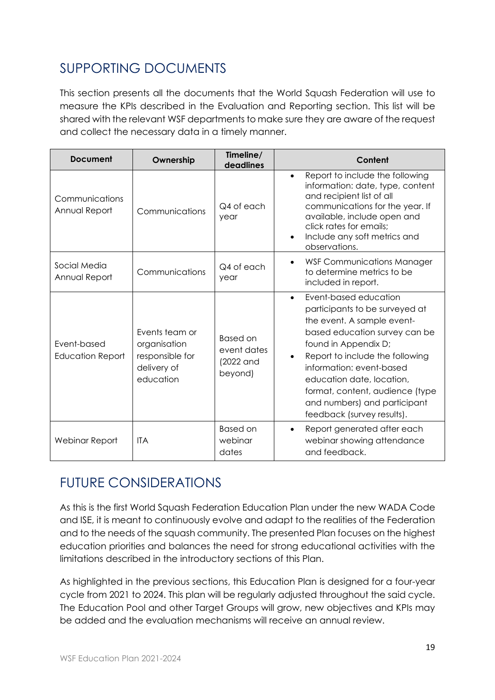# <span id="page-19-0"></span>SUPPORTING DOCUMENTS

This section presents all the documents that the World Squash Federation will use to measure the KPIs described in the Evaluation and Reporting section. This list will be shared with the relevant WSF departments to make sure they are aware of the request and collect the necessary data in a timely manner.

| <b>Document</b><br>Ownership           |                                                                               | Timeline/<br>deadlines                                 | Content                                                                                                                                                                                                                                                                                                                                                  |  |  |  |
|----------------------------------------|-------------------------------------------------------------------------------|--------------------------------------------------------|----------------------------------------------------------------------------------------------------------------------------------------------------------------------------------------------------------------------------------------------------------------------------------------------------------------------------------------------------------|--|--|--|
| Communications<br>Annual Report        | Communications                                                                | Q4 of each<br>year                                     | Report to include the following<br>$\bullet$<br>information: date, type, content<br>and recipient list of all<br>communications for the year. If<br>available, include open and<br>click rates for emails:<br>Include any soft metrics and<br>$\bullet$<br>observations.                                                                                 |  |  |  |
| Social Media<br>Annual Report          | Communications                                                                | Q4 of each<br>year                                     | <b>WSF Communications Manager</b><br>to determine metrics to be<br>included in report.                                                                                                                                                                                                                                                                   |  |  |  |
| Event-based<br><b>Education Report</b> | Events team or<br>organisation<br>responsible for<br>delivery of<br>education | <b>Based on</b><br>event dates<br>(2022 and<br>beyond) | Event-based education<br>$\bullet$<br>participants to be surveyed at<br>the event. A sample event-<br>based education survey can be<br>found in Appendix D;<br>Report to include the following<br>information: event-based<br>education date, location,<br>format, content, audience (type<br>and numbers) and participant<br>feedback (survey results). |  |  |  |
| Webinar Report                         | <b>ITA</b>                                                                    | <b>Based on</b><br>webinar<br>dates                    | Report generated after each<br>$\bullet$<br>webinar showing attendance<br>and feedback.                                                                                                                                                                                                                                                                  |  |  |  |

# <span id="page-19-1"></span>FUTURE CONSIDERATIONS

As this is the first World Squash Federation Education Plan under the new WADA Code and ISE, it is meant to continuously evolve and adapt to the realities of the Federation and to the needs of the squash community. The presented Plan focuses on the highest education priorities and balances the need for strong educational activities with the limitations described in the introductory sections of this Plan.

As highlighted in the previous sections, this Education Plan is designed for a four-year cycle from 2021 to 2024. This plan will be regularly adjusted throughout the said cycle. The Education Pool and other Target Groups will grow, new objectives and KPIs may be added and the evaluation mechanisms will receive an annual review.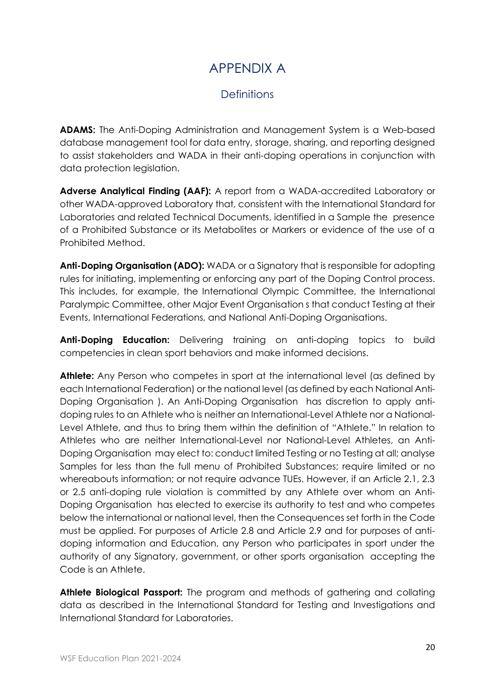# APPENDIX A

# **Definitions**

<span id="page-20-1"></span><span id="page-20-0"></span>**ADAMS:** The Anti-Doping Administration and Management System is a Web-based database management tool for data entry, storage, sharing, and reporting designed to assist stakeholders and WADA in their anti-doping operations in conjunction with data protection legislation.

**Adverse Analytical Finding (AAF):** A report from a WADA-accredited Laboratory or other WADA-approved Laboratory that, consistent with the International Standard for Laboratories and related Technical Documents, identified in a Sample the presence of a Prohibited Substance or its Metabolites or Markers or evidence of the use of a Prohibited Method.

**Anti-Doping Organisation (ADO):** WADA or a Signatory that is responsible for adopting rules for initiating, implementing or enforcing any part of the Doping Control process. This includes, for example, the International Olympic Committee, the International Paralympic Committee, other Major Event Organisation s that conduct Testing at their Events, International Federations, and National Anti-Doping Organisations.

Anti-Doping Education: Delivering training on anti-doping topics to build competencies in clean sport behaviors and make informed decisions.

**Athlete:** Any Person who competes in sport at the international level (as defined by each International Federation) or the national level (as defined by each National Anti-Doping Organisation ). An Anti-Doping Organisation has discretion to apply antidoping rules to an Athlete who is neither an International-Level Athlete nor a National-Level Athlete, and thus to bring them within the definition of "Athlete." In relation to Athletes who are neither International-Level nor National-Level Athletes, an Anti-Doping Organisation may elect to: conduct limited Testing or no Testing at all; analyse Samples for less than the full menu of Prohibited Substances; require limited or no whereabouts information; or not require advance TUEs. However, if an Article 2.1, 2.3 or 2.5 anti-doping rule violation is committed by any Athlete over whom an Anti-Doping Organisation has elected to exercise its authority to test and who competes below the international or national level, then the Consequences set forth in the Code must be applied. For purposes of Article 2.8 and Article 2.9 and for purposes of antidoping information and Education, any Person who participates in sport under the authority of any Signatory, government, or other sports organisation accepting the Code is an Athlete.

**Athlete Biological Passport:** The program and methods of gathering and collating data as described in the International Standard for Testing and Investigations and International Standard for Laboratories.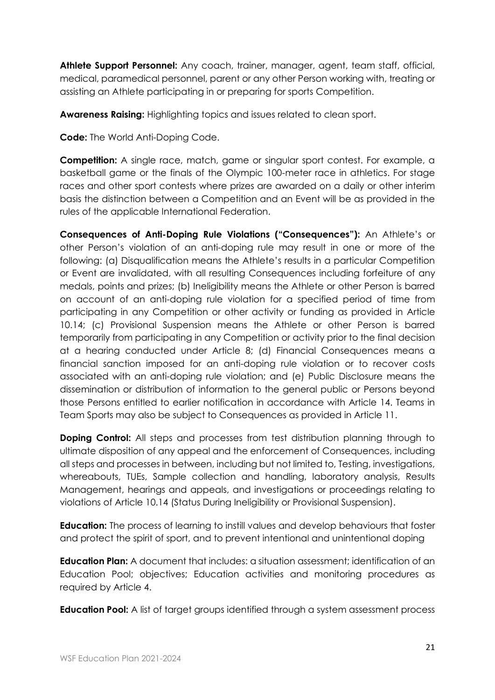**Athlete Support Personnel:** Any coach, trainer, manager, agent, team staff, official, medical, paramedical personnel, parent or any other Person working with, treating or assisting an Athlete participating in or preparing for sports Competition.

**Awareness Raising:** Highlighting topics and issues related to clean sport.

**Code:** The World Anti-Doping Code.

**Competition:** A single race, match, game or singular sport contest. For example, a basketball game or the finals of the Olympic 100-meter race in athletics. For stage races and other sport contests where prizes are awarded on a daily or other interim basis the distinction between a Competition and an Event will be as provided in the rules of the applicable International Federation.

**Consequences of Anti-Doping Rule Violations ("Consequences"):** An Athlete's or other Person's violation of an anti-doping rule may result in one or more of the following: (a) Disqualification means the Athlete's results in a particular Competition or Event are invalidated, with all resulting Consequences including forfeiture of any medals, points and prizes; (b) Ineligibility means the Athlete or other Person is barred on account of an anti-doping rule violation for a specified period of time from participating in any Competition or other activity or funding as provided in Article 10.14; (c) Provisional Suspension means the Athlete or other Person is barred temporarily from participating in any Competition or activity prior to the final decision at a hearing conducted under Article 8; (d) Financial Consequences means a financial sanction imposed for an anti-doping rule violation or to recover costs associated with an anti-doping rule violation; and (e) Public Disclosure means the dissemination or distribution of information to the general public or Persons beyond those Persons entitled to earlier notification in accordance with Article 14. Teams in Team Sports may also be subject to Consequences as provided in Article 11.

**Doping Control:** All steps and processes from test distribution planning through to ultimate disposition of any appeal and the enforcement of Consequences, including all steps and processes in between, including but not limited to, Testing, investigations, whereabouts, TUEs, Sample collection and handling, laboratory analysis, Results Management, hearings and appeals, and investigations or proceedings relating to violations of Article 10.14 (Status During Ineligibility or Provisional Suspension).

**Education:** The process of learning to instill values and develop behaviours that foster and protect the spirit of sport, and to prevent intentional and unintentional doping

**Education Plan:** A document that includes: a situation assessment; identification of an Education Pool; objectives; Education activities and monitoring procedures as required by Article 4.

**Education Pool:** A list of target groups identified through a system assessment process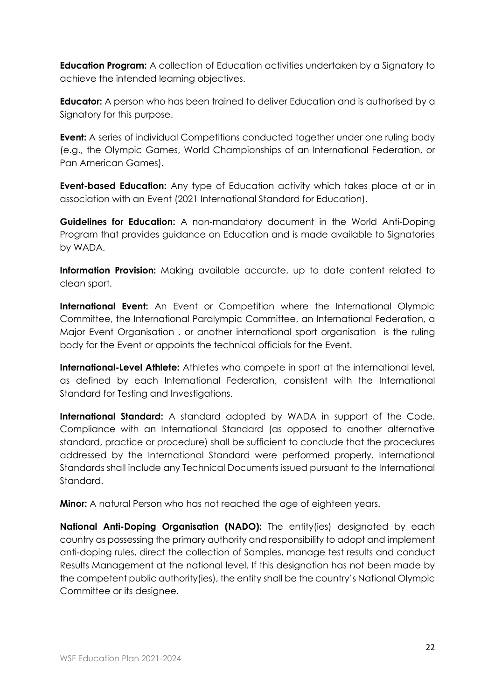**Education Program:** A collection of Education activities undertaken by a Signatory to achieve the intended learning objectives.

**Educator:** A person who has been trained to deliver Education and is authorised by a Signatory for this purpose.

**Event:** A series of individual Competitions conducted together under one ruling body (e.g., the Olympic Games, World Championships of an International Federation, or Pan American Games).

**Event-based Education:** Any type of Education activity which takes place at or in association with an Event (2021 International Standard for Education).

**Guidelines for Education:** A non-mandatory document in the World Anti-Doping Program that provides guidance on Education and is made available to Signatories by WADA.

**Information Provision:** Making available accurate, up to date content related to clean sport.

**International Event:** An Event or Competition where the International Olympic Committee, the International Paralympic Committee, an International Federation, a Major Event Organisation , or another international sport organisation is the ruling body for the Event or appoints the technical officials for the Event.

**International-Level Athlete:** Athletes who compete in sport at the international level, as defined by each International Federation, consistent with the International Standard for Testing and Investigations.

**International Standard:** A standard adopted by WADA in support of the Code. Compliance with an International Standard (as opposed to another alternative standard, practice or procedure) shall be sufficient to conclude that the procedures addressed by the International Standard were performed properly. International Standards shall include any Technical Documents issued pursuant to the International Standard.

**Minor:** A natural Person who has not reached the age of eighteen years.

**National Anti-Doping Organisation (NADO):** The entity(ies) designated by each country as possessing the primary authority and responsibility to adopt and implement anti-doping rules, direct the collection of Samples, manage test results and conduct Results Management at the national level. If this designation has not been made by the competent public authority(ies), the entity shall be the country's National Olympic Committee or its designee.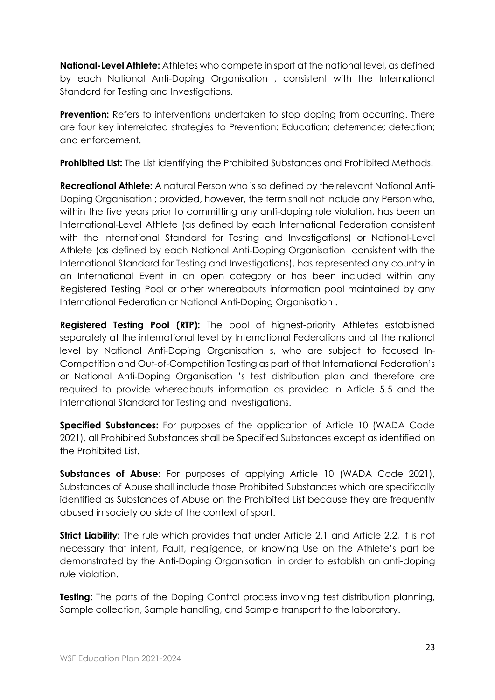**National-Level Athlete:** Athletes who compete in sport at the national level, as defined by each National Anti-Doping Organisation , consistent with the International Standard for Testing and Investigations.

**Prevention:** Refers to interventions undertaken to stop doping from occurring. There are four key interrelated strategies to Prevention: Education; deterrence; detection; and enforcement.

**Prohibited List:** The List identifying the Prohibited Substances and Prohibited Methods.

**Recreational Athlete:** A natural Person who is so defined by the relevant National Anti-Doping Organisation ; provided, however, the term shall not include any Person who, within the five years prior to committing any anti-doping rule violation, has been an International-Level Athlete (as defined by each International Federation consistent with the International Standard for Testing and Investigations) or National-Level Athlete (as defined by each National Anti-Doping Organisation consistent with the International Standard for Testing and Investigations), has represented any country in an International Event in an open category or has been included within any Registered Testing Pool or other whereabouts information pool maintained by any International Federation or National Anti-Doping Organisation .

**Registered Testing Pool (RTP):** The pool of highest-priority Athletes established separately at the international level by International Federations and at the national level by National Anti-Doping Organisation s, who are subject to focused In-Competition and Out-of-Competition Testing as part of that International Federation's or National Anti-Doping Organisation 's test distribution plan and therefore are required to provide whereabouts information as provided in Article 5.5 and the International Standard for Testing and Investigations.

**Specified Substances:** For purposes of the application of Article 10 (WADA Code 2021), all Prohibited Substances shall be Specified Substances except as identified on the Prohibited List.

**Substances of Abuse:** For purposes of applying Article 10 (WADA Code 2021), Substances of Abuse shall include those Prohibited Substances which are specifically identified as Substances of Abuse on the Prohibited List because they are frequently abused in society outside of the context of sport.

**Strict Liability:** The rule which provides that under Article 2.1 and Article 2.2, it is not necessary that intent, Fault, negligence, or knowing Use on the Athlete's part be demonstrated by the Anti-Doping Organisation in order to establish an anti-doping rule violation.

**Testing:** The parts of the Doping Control process involving test distribution planning, Sample collection, Sample handling, and Sample transport to the laboratory.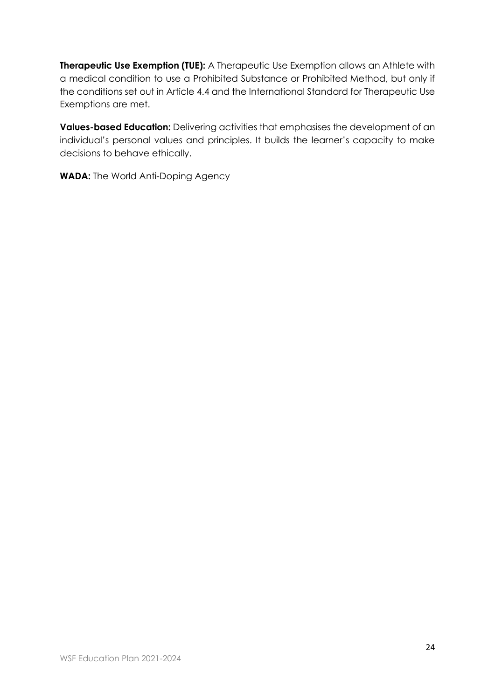**Therapeutic Use Exemption (TUE):** A Therapeutic Use Exemption allows an Athlete with a medical condition to use a Prohibited Substance or Prohibited Method, but only if the conditions set out in Article 4.4 and the International Standard for Therapeutic Use Exemptions are met.

**Values-based Education:** Delivering activities that emphasises the development of an individual's personal values and principles. It builds the learner's capacity to make decisions to behave ethically.

**WADA:** The World Anti-Doping Agency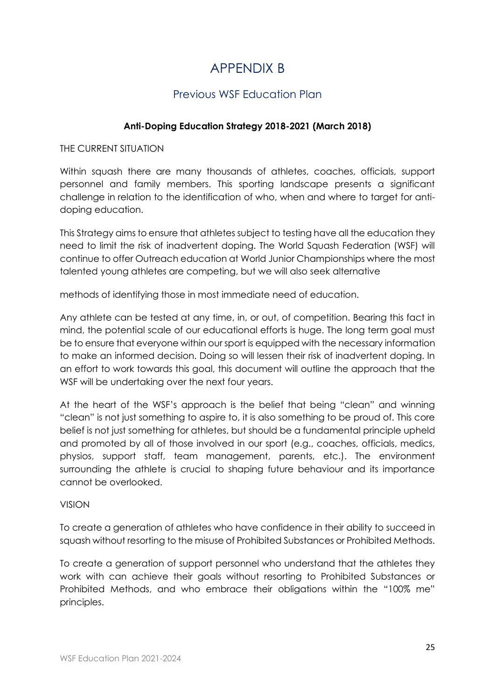# APPENDIX B

# Previous WSF Education Plan

## **Anti-Doping Education Strategy 2018-2021 (March 2018)**

<span id="page-25-1"></span><span id="page-25-0"></span>THE CURRENT SITUATION

Within squash there are many thousands of athletes, coaches, officials, support personnel and family members. This sporting landscape presents a significant challenge in relation to the identification of who, when and where to target for antidoping education.

This Strategy aims to ensure that athletes subject to testing have all the education they need to limit the risk of inadvertent doping. The World Squash Federation (WSF) will continue to offer Outreach education at World Junior Championships where the most talented young athletes are competing, but we will also seek alternative

methods of identifying those in most immediate need of education.

Any athlete can be tested at any time, in, or out, of competition. Bearing this fact in mind, the potential scale of our educational efforts is huge. The long term goal must be to ensure that everyone within our sport is equipped with the necessary information to make an informed decision. Doing so will lessen their risk of inadvertent doping. In an effort to work towards this goal, this document will outline the approach that the WSF will be undertaking over the next four years.

At the heart of the WSF's approach is the belief that being "clean" and winning "clean" is not just something to aspire to, it is also something to be proud of. This core belief is not just something for athletes, but should be a fundamental principle upheld and promoted by all of those involved in our sport (e.g., coaches, officials, medics, physios, support staff, team management, parents, etc.). The environment surrounding the athlete is crucial to shaping future behaviour and its importance cannot be overlooked.

VISION

To create a generation of athletes who have confidence in their ability to succeed in squash without resorting to the misuse of Prohibited Substances or Prohibited Methods.

To create a generation of support personnel who understand that the athletes they work with can achieve their goals without resorting to Prohibited Substances or Prohibited Methods, and who embrace their obligations within the "100% me" principles.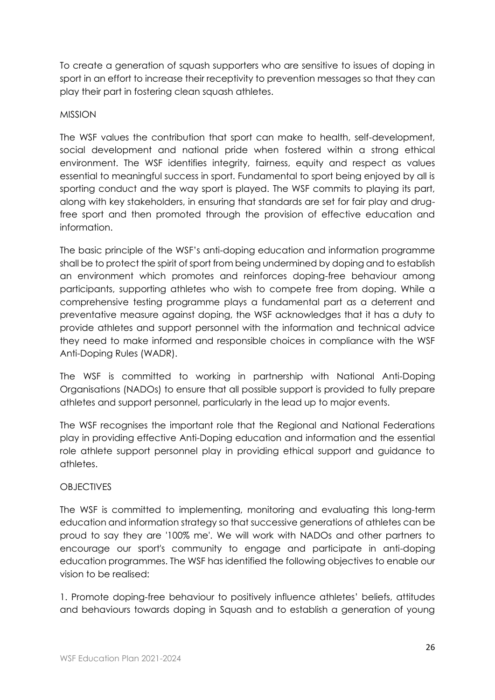To create a generation of squash supporters who are sensitive to issues of doping in sport in an effort to increase their receptivity to prevention messages so that they can play their part in fostering clean squash athletes.

#### MISSION

The WSF values the contribution that sport can make to health, self-development, social development and national pride when fostered within a strong ethical environment. The WSF identifies integrity, fairness, equity and respect as values essential to meaningful success in sport. Fundamental to sport being enjoyed by all is sporting conduct and the way sport is played. The WSF commits to playing its part, along with key stakeholders, in ensuring that standards are set for fair play and drugfree sport and then promoted through the provision of effective education and information.

The basic principle of the WSF's anti-doping education and information programme shall be to protect the spirit of sport from being undermined by doping and to establish an environment which promotes and reinforces doping-free behaviour among participants, supporting athletes who wish to compete free from doping. While a comprehensive testing programme plays a fundamental part as a deterrent and preventative measure against doping, the WSF acknowledges that it has a duty to provide athletes and support personnel with the information and technical advice they need to make informed and responsible choices in compliance with the WSF Anti-Doping Rules (WADR).

The WSF is committed to working in partnership with National Anti-Doping Organisations (NADOs) to ensure that all possible support is provided to fully prepare athletes and support personnel, particularly in the lead up to major events.

The WSF recognises the important role that the Regional and National Federations play in providing effective Anti-Doping education and information and the essential role athlete support personnel play in providing ethical support and guidance to athletes.

## OBJECTIVES

The WSF is committed to implementing, monitoring and evaluating this long-term education and information strategy so that successive generations of athletes can be proud to say they are '100% me'. We will work with NADOs and other partners to encourage our sport's community to engage and participate in anti-doping education programmes. The WSF has identified the following objectives to enable our vision to be realised:

1. Promote doping-free behaviour to positively influence athletes' beliefs, attitudes and behaviours towards doping in Squash and to establish a generation of young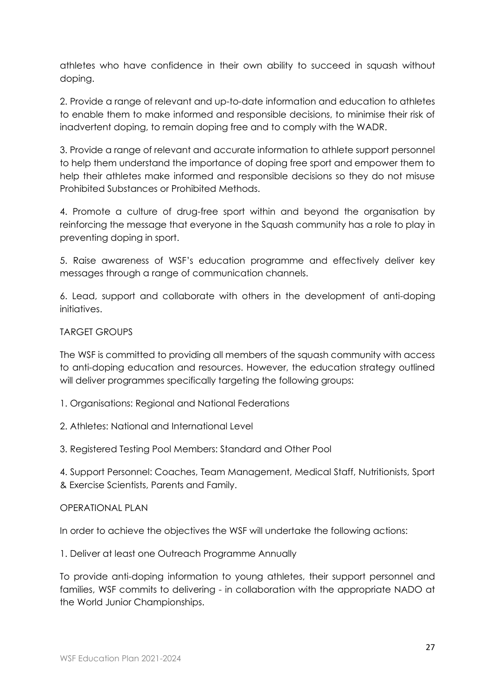athletes who have confidence in their own ability to succeed in squash without doping.

2. Provide a range of relevant and up-to-date information and education to athletes to enable them to make informed and responsible decisions, to minimise their risk of inadvertent doping, to remain doping free and to comply with the WADR.

3. Provide a range of relevant and accurate information to athlete support personnel to help them understand the importance of doping free sport and empower them to help their athletes make informed and responsible decisions so they do not misuse Prohibited Substances or Prohibited Methods.

4. Promote a culture of drug-free sport within and beyond the organisation by reinforcing the message that everyone in the Squash community has a role to play in preventing doping in sport.

5. Raise awareness of WSF's education programme and effectively deliver key messages through a range of communication channels.

6. Lead, support and collaborate with others in the development of anti-doping initiatives.

## TARGET GROUPS

The WSF is committed to providing all members of the squash community with access to anti-doping education and resources. However, the education strategy outlined will deliver programmes specifically targeting the following groups:

- 1. Organisations: Regional and National Federations
- 2. Athletes: National and International Level
- 3. Registered Testing Pool Members: Standard and Other Pool

4. Support Personnel: Coaches, Team Management, Medical Staff, Nutritionists, Sport & Exercise Scientists, Parents and Family.

## OPERATIONAL PLAN

In order to achieve the objectives the WSF will undertake the following actions:

1. Deliver at least one Outreach Programme Annually

To provide anti-doping information to young athletes, their support personnel and families, WSF commits to delivering - in collaboration with the appropriate NADO at the World Junior Championships.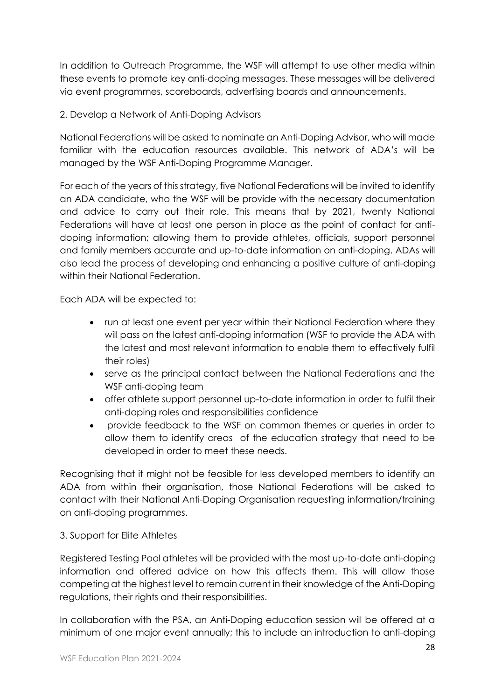In addition to Outreach Programme, the WSF will attempt to use other media within these events to promote key anti-doping messages. These messages will be delivered via event programmes, scoreboards, advertising boards and announcements.

## 2. Develop a Network of Anti-Doping Advisors

National Federations will be asked to nominate an Anti-Doping Advisor, who will made familiar with the education resources available. This network of ADA's will be managed by the WSF Anti-Doping Programme Manager.

For each of the years of this strategy, five National Federations will be invited to identify an ADA candidate, who the WSF will be provide with the necessary documentation and advice to carry out their role. This means that by 2021, twenty National Federations will have at least one person in place as the point of contact for antidoping information; allowing them to provide athletes, officials, support personnel and family members accurate and up-to-date information on anti-doping. ADAs will also lead the process of developing and enhancing a positive culture of anti-doping within their National Federation.

Each ADA will be expected to:

- run at least one event per year within their National Federation where they will pass on the latest anti-doping information (WSF to provide the ADA with the latest and most relevant information to enable them to effectively fulfil their roles)
- serve as the principal contact between the National Federations and the WSF anti-doping team
- offer athlete support personnel up-to-date information in order to fulfil their anti-doping roles and responsibilities confidence
- provide feedback to the WSF on common themes or queries in order to allow them to identify areas of the education strategy that need to be developed in order to meet these needs.

Recognising that it might not be feasible for less developed members to identify an ADA from within their organisation, those National Federations will be asked to contact with their National Anti-Doping Organisation requesting information/training on anti-doping programmes.

## 3. Support for Elite Athletes

Registered Testing Pool athletes will be provided with the most up-to-date anti-doping information and offered advice on how this affects them. This will allow those competing at the highest level to remain current in their knowledge of the Anti-Doping regulations, their rights and their responsibilities.

In collaboration with the PSA, an Anti-Doping education session will be offered at a minimum of one major event annually; this to include an introduction to anti-doping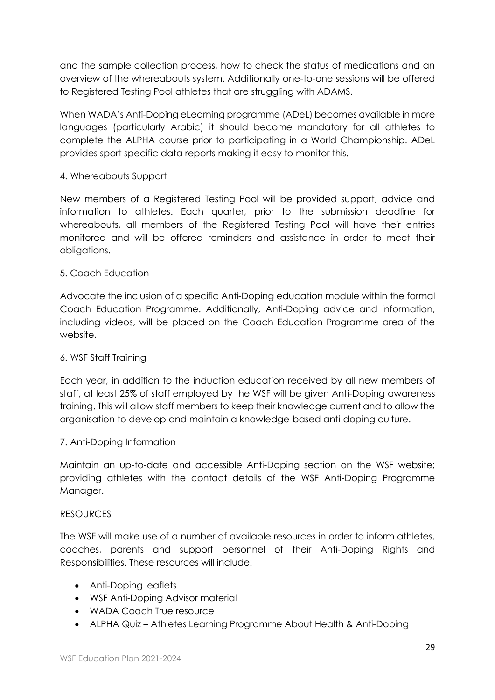and the sample collection process, how to check the status of medications and an overview of the whereabouts system. Additionally one-to-one sessions will be offered to Registered Testing Pool athletes that are struggling with ADAMS.

When WADA's Anti-Doping eLearning programme (ADeL) becomes available in more languages (particularly Arabic) it should become mandatory for all athletes to complete the ALPHA course prior to participating in a World Championship. ADeL provides sport specific data reports making it easy to monitor this.

## 4. Whereabouts Support

New members of a Registered Testing Pool will be provided support, advice and information to athletes. Each quarter, prior to the submission deadline for whereabouts, all members of the Registered Testing Pool will have their entries monitored and will be offered reminders and assistance in order to meet their obligations.

## 5. Coach Education

Advocate the inclusion of a specific Anti-Doping education module within the formal Coach Education Programme. Additionally, Anti-Doping advice and information, including videos, will be placed on the Coach Education Programme area of the website.

## 6. WSF Staff Training

Each year, in addition to the induction education received by all new members of staff, at least 25% of staff employed by the WSF will be given Anti-Doping awareness training. This will allow staff members to keep their knowledge current and to allow the organisation to develop and maintain a knowledge-based anti-doping culture.

## 7. Anti-Doping Information

Maintain an up-to-date and accessible Anti-Doping section on the WSF website; providing athletes with the contact details of the WSF Anti-Doping Programme Manager.

## RESOURCES

The WSF will make use of a number of available resources in order to inform athletes, coaches, parents and support personnel of their Anti-Doping Rights and Responsibilities. These resources will include:

- Anti-Doping leaflets
- WSF Anti-Doping Advisor material
- WADA Coach True resource
- ALPHA Quiz Athletes Learning Programme About Health & Anti-Doping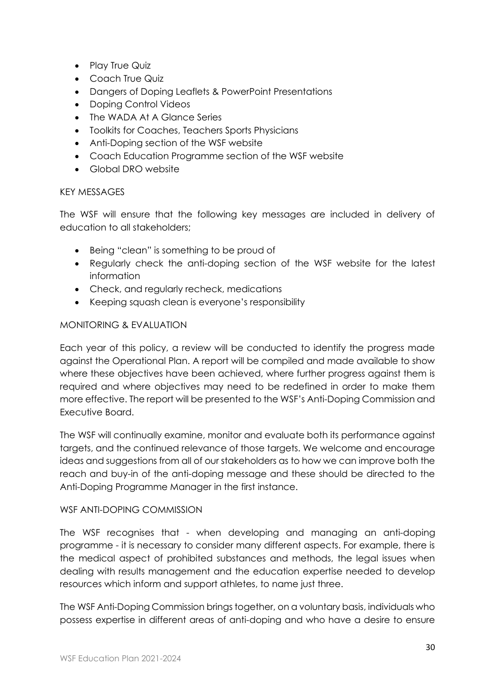- Play True Quiz
- Coach True Quiz
- Dangers of Doping Leaflets & PowerPoint Presentations
- Doping Control Videos
- The WADA At A Glance Series
- Toolkits for Coaches, Teachers Sports Physicians
- Anti-Doping section of the WSF website
- Coach Education Programme section of the WSF website
- Global DRO website

#### KEY MESSAGES

The WSF will ensure that the following key messages are included in delivery of education to all stakeholders;

- Being "clean" is something to be proud of
- Regularly check the anti-doping section of the WSF website for the latest information
- Check, and regularly recheck, medications
- Keeping squash clean is everyone's responsibility

#### MONITORING & EVALUATION

Each year of this policy, a review will be conducted to identify the progress made against the Operational Plan. A report will be compiled and made available to show where these objectives have been achieved, where further progress against them is required and where objectives may need to be redefined in order to make them more effective. The report will be presented to the WSF's Anti-Doping Commission and Executive Board.

The WSF will continually examine, monitor and evaluate both its performance against targets, and the continued relevance of those targets. We welcome and encourage ideas and suggestions from all of our stakeholders as to how we can improve both the reach and buy-in of the anti-doping message and these should be directed to the Anti-Doping Programme Manager in the first instance.

#### WSF ANTI-DOPING COMMISSION

The WSF recognises that - when developing and managing an anti-doping programme - it is necessary to consider many different aspects. For example, there is the medical aspect of prohibited substances and methods, the legal issues when dealing with results management and the education expertise needed to develop resources which inform and support athletes, to name just three.

The WSF Anti-Doping Commission brings together, on a voluntary basis, individuals who possess expertise in different areas of anti-doping and who have a desire to ensure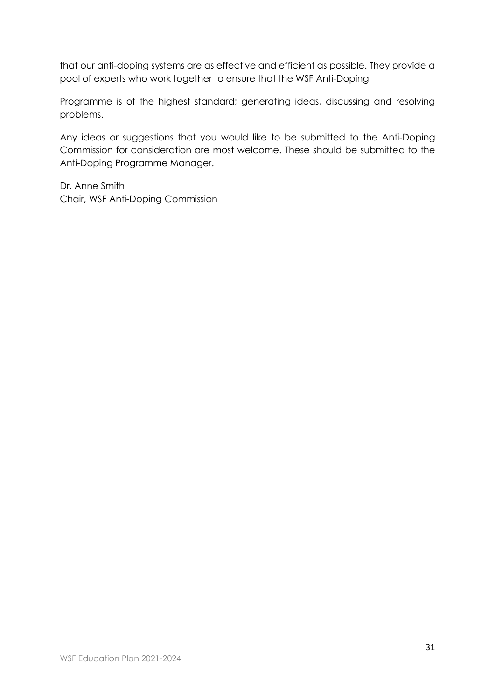that our anti-doping systems are as effective and efficient as possible. They provide a pool of experts who work together to ensure that the WSF Anti-Doping

Programme is of the highest standard; generating ideas, discussing and resolving problems.

Any ideas or suggestions that you would like to be submitted to the Anti-Doping Commission for consideration are most welcome. These should be submitted to the Anti-Doping Programme Manager.

Dr. Anne Smith Chair, WSF Anti-Doping Commission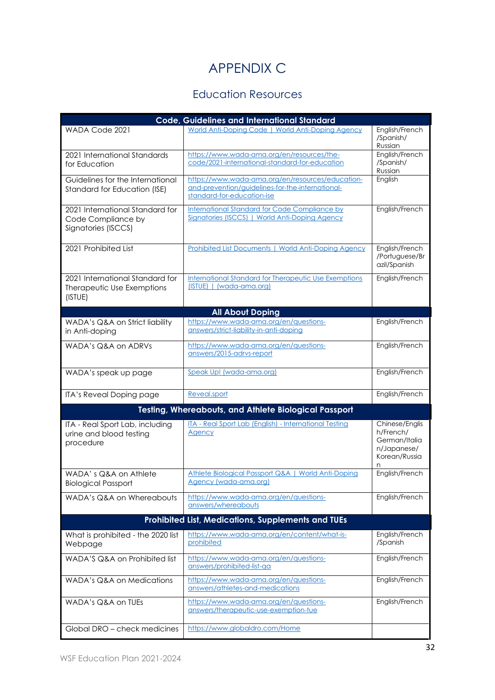# APPENDIX C

# Education Resources

<span id="page-32-1"></span><span id="page-32-0"></span>

| <b>Code, Guidelines and International Standard</b>                           |                                                                                                                                    |                                                                                   |  |  |  |  |  |
|------------------------------------------------------------------------------|------------------------------------------------------------------------------------------------------------------------------------|-----------------------------------------------------------------------------------|--|--|--|--|--|
| WADA Code 2021                                                               | World Anti-Doping Code   World Anti-Doping Agency                                                                                  | English/French<br>/Spanish/<br>Russian                                            |  |  |  |  |  |
| 2021 International Standards<br>for Education                                | https://www.wada-ama.org/en/resources/the-<br>code/2021-international-standard-for-education                                       | English/French<br>/Spanish/<br>Russian                                            |  |  |  |  |  |
| Guidelines for the International<br>Standard for Education (ISE)             | https://www.wada-ama.org/en/resources/education-<br>and-prevention/guidelines-for-the-international-<br>standard-for-education-ise | English                                                                           |  |  |  |  |  |
| 2021 International Standard for<br>Code Compliance by<br>Signatories (ISCCS) | International Standard for Code Compliance by<br>Signatories (ISCCS)   World Anti-Doping Agency                                    | English/French                                                                    |  |  |  |  |  |
| 2021 Prohibited List                                                         | Prohibited List Documents   World Anti-Doping Agency                                                                               | English/French<br>/Portuguese/Br<br>azil/Spanish                                  |  |  |  |  |  |
| 2021 International Standard for<br>Therapeutic Use Exemptions<br>(ISTUE)     | <b>International Standard for Therapeutic Use Exemptions</b><br>(ISTUE)   (wada-ama.org)                                           | English/French                                                                    |  |  |  |  |  |
|                                                                              | <b>All About Doping</b>                                                                                                            |                                                                                   |  |  |  |  |  |
| WADA's Q&A on Strict liability<br>in Anti-doping                             | https://www.wada-ama.org/en/questions-<br>answers/strict-liability-in-anti-doping                                                  | English/French                                                                    |  |  |  |  |  |
| WADA's Q&A on ADRVs                                                          | https://www.wada-ama.org/en/questions-<br>answers/2015-adrvs-report                                                                | English/French                                                                    |  |  |  |  |  |
| WADA's speak up page                                                         | Speak Up! (wada-ama.org)                                                                                                           | English/French                                                                    |  |  |  |  |  |
| ITA's Reveal Doping page                                                     | Reveal.sport                                                                                                                       | English/French                                                                    |  |  |  |  |  |
|                                                                              | Testing, Whereabouts, and Athlete Biological Passport                                                                              |                                                                                   |  |  |  |  |  |
| ITA - Real Sport Lab, including<br>urine and blood testing<br>procedure      | ITA - Real Sport Lab (English) - International Testing<br><b>Agency</b>                                                            | Chinese/Englis<br>h/French/<br>German/Italia<br>n/Japanese/<br>Korean/Russia<br>n |  |  |  |  |  |
| WADA's Q&A on Athlete<br><b>Biological Passport</b>                          | Athlete Biological Passport Q&A   World Anti-Doping<br>Agency (wada-ama.org)                                                       | English/French                                                                    |  |  |  |  |  |
| WADA's Q&A on Whereabouts                                                    | https://www.wada-ama.org/en/questions-<br>answers/whereabouts                                                                      | English/French                                                                    |  |  |  |  |  |
|                                                                              | Prohibited List, Medications, Supplements and TUEs                                                                                 |                                                                                   |  |  |  |  |  |
| What is prohibited - the 2020 list<br>Webpage                                | https://www.wada-ama.org/en/content/what-is-<br>prohibited                                                                         | English/French<br>/Spanish                                                        |  |  |  |  |  |
| WADA'S Q&A on Prohibited list                                                | https://www.wada-ama.org/en/questions-<br>answers/prohibited-list-qa                                                               | English/French                                                                    |  |  |  |  |  |
| WADA's Q&A on Medications                                                    | https://www.wada-ama.org/en/questions-<br>answers/athletes-and-medications                                                         | English/French                                                                    |  |  |  |  |  |
| WADA's Q&A on TUEs                                                           | https://www.wada-ama.org/en/questions-<br>answers/therapeutic-use-exemption-tue                                                    | English/French                                                                    |  |  |  |  |  |
| Global DRO - check medicines                                                 | https://www.globaldro.com/Home                                                                                                     |                                                                                   |  |  |  |  |  |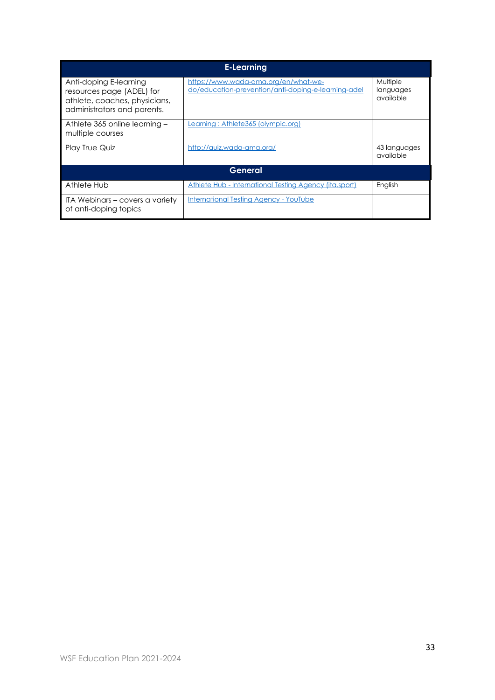| <b>E-Learning</b>                                                                                                   |                                                                                             |                                    |  |  |  |  |  |
|---------------------------------------------------------------------------------------------------------------------|---------------------------------------------------------------------------------------------|------------------------------------|--|--|--|--|--|
| Anti-doping E-learning<br>resources page (ADEL) for<br>athlete, coaches, physicians,<br>administrators and parents. | https://www.wada-ama.org/en/what-we-<br>do/education-prevention/anti-doping-e-learning-adel | Multiple<br>languages<br>available |  |  |  |  |  |
| Athlete 365 online learning -<br>multiple courses                                                                   | Learning: Athlete365 (olympic.org)                                                          |                                    |  |  |  |  |  |
| <b>Play True Quiz</b>                                                                                               | http://quiz.wada-ama.org/                                                                   | 43 languages<br>available          |  |  |  |  |  |
| General                                                                                                             |                                                                                             |                                    |  |  |  |  |  |
| Athlete Hub                                                                                                         | Athlete Hub - International Testing Agency (ita.sport)                                      | English                            |  |  |  |  |  |
| ITA Webinars – covers a variety<br>of anti-doping topics                                                            | <b>International Testing Agency - YouTube</b>                                               |                                    |  |  |  |  |  |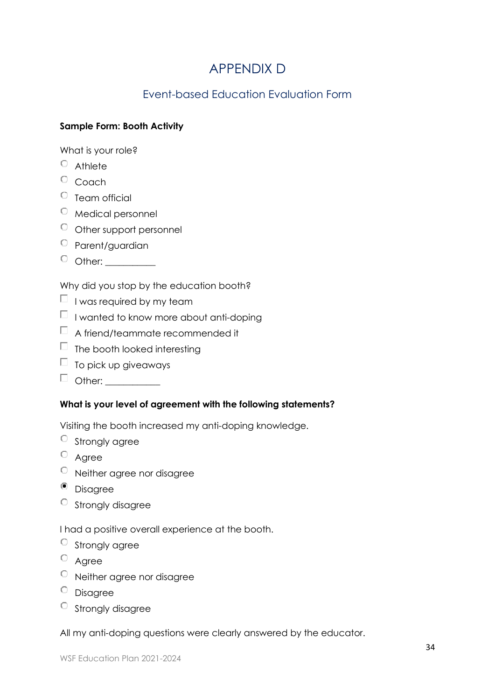# APPENDIX D

# Event-based Education Evaluation Form

## <span id="page-34-1"></span><span id="page-34-0"></span>**Sample Form: Booth Activity**

What is your role?

- $O$  Athlete
- $\circ$  Coach
- $\circ$  Team official
- $\circ$  Medical personnel
- $\circ$  Other support personnel
- <sup>O</sup> Parent/guardian
- $\circ$  other:  $\_\_$

Why did you stop by the education booth?

- $\Box$  I was required by my team
- $\Box$  I wanted to know more about anti-doping
- $\Box$  A friend/teammate recommended it
- $\Box$  The booth looked interesting
- $\Box$  To pick up giveaways
- □ other: \_\_\_\_\_\_\_\_\_\_\_

## **What is your level of agreement with the following statements?**

Visiting the booth increased my anti-doping knowledge.

- $\circ$  Strongly agree
- <sup>O</sup> Agree
- Neither agree nor disagree
- <sup>o</sup> Disagree
- $\circ$  Strongly disagree

I had a positive overall experience at the booth.

- $\circ$  Strongly agree
- $\circ$  Agree
- Neither agree nor disagree
- <sup>O</sup> Disagree
- Strongly disagree

All my anti-doping questions were clearly answered by the educator.